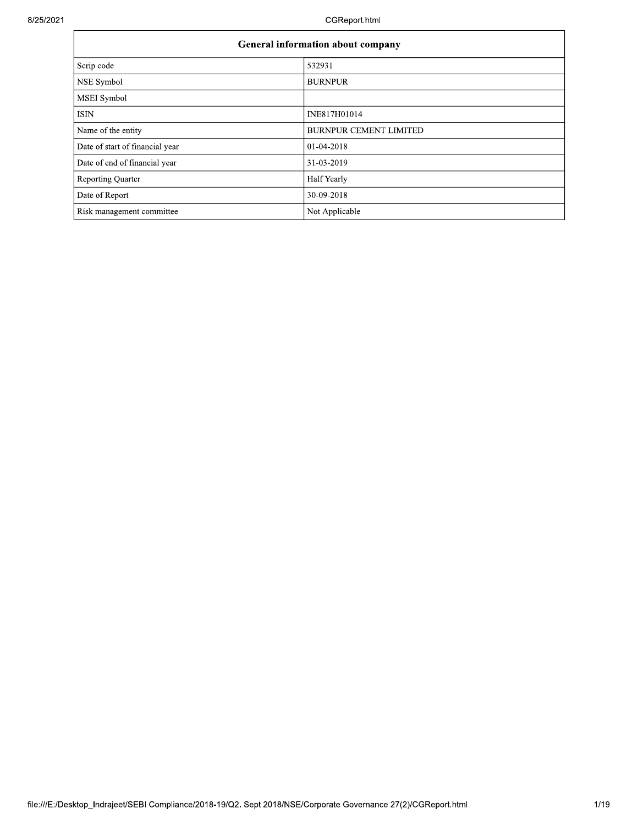| General information about company |                               |  |  |  |  |
|-----------------------------------|-------------------------------|--|--|--|--|
| Scrip code                        | 532931                        |  |  |  |  |
| NSE Symbol                        | <b>BURNPUR</b>                |  |  |  |  |
| MSEI Symbol                       |                               |  |  |  |  |
| <b>ISIN</b>                       | INE817H01014                  |  |  |  |  |
| Name of the entity                | <b>BURNPUR CEMENT LIMITED</b> |  |  |  |  |
| Date of start of financial year   | 01-04-2018                    |  |  |  |  |
| Date of end of financial year     | 31-03-2019                    |  |  |  |  |
| <b>Reporting Quarter</b>          | Half Yearly                   |  |  |  |  |
| Date of Report                    | 30-09-2018                    |  |  |  |  |
| Risk management committee         | Not Applicable                |  |  |  |  |

٦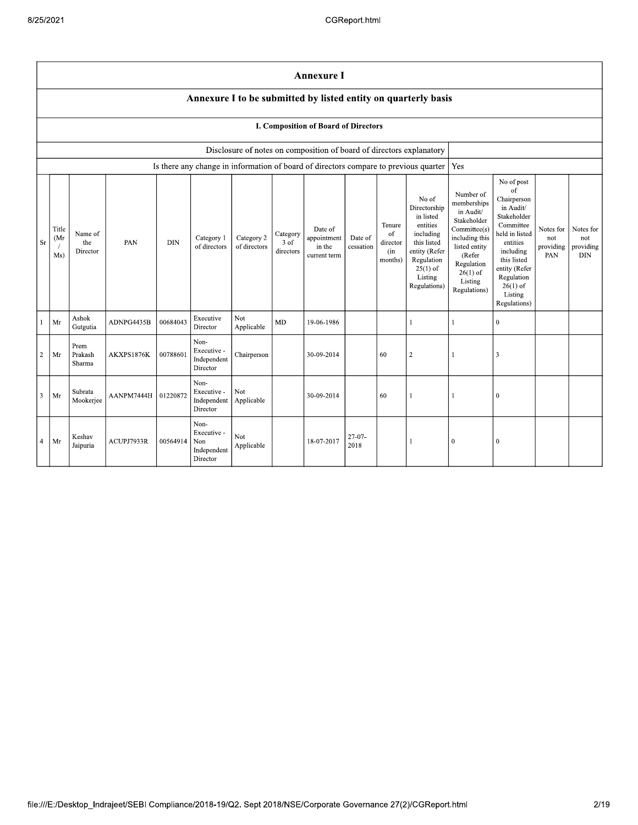|                | <b>Annexure I</b>                                              |                            |                      |            |                                                       |                            |                               |                                                  |                      |                                            |                                                                                                                                                    |                                                                                                                                                                          |                                                                                                                                                                                                            |                                      |                                             |
|----------------|----------------------------------------------------------------|----------------------------|----------------------|------------|-------------------------------------------------------|----------------------------|-------------------------------|--------------------------------------------------|----------------------|--------------------------------------------|----------------------------------------------------------------------------------------------------------------------------------------------------|--------------------------------------------------------------------------------------------------------------------------------------------------------------------------|------------------------------------------------------------------------------------------------------------------------------------------------------------------------------------------------------------|--------------------------------------|---------------------------------------------|
|                | Annexure I to be submitted by listed entity on quarterly basis |                            |                      |            |                                                       |                            |                               |                                                  |                      |                                            |                                                                                                                                                    |                                                                                                                                                                          |                                                                                                                                                                                                            |                                      |                                             |
|                | I. Composition of Board of Directors                           |                            |                      |            |                                                       |                            |                               |                                                  |                      |                                            |                                                                                                                                                    |                                                                                                                                                                          |                                                                                                                                                                                                            |                                      |                                             |
|                |                                                                |                            |                      |            |                                                       |                            |                               |                                                  |                      |                                            | Disclosure of notes on composition of board of directors explanatory                                                                               |                                                                                                                                                                          |                                                                                                                                                                                                            |                                      |                                             |
|                |                                                                |                            |                      |            |                                                       |                            |                               |                                                  |                      |                                            | Is there any change in information of board of directors compare to previous quarter                                                               | Yes                                                                                                                                                                      |                                                                                                                                                                                                            |                                      |                                             |
| Sr             | Title<br>(Mr<br>Ms)                                            | Name of<br>the<br>Director | PAN                  | <b>DIN</b> | Category 1<br>of directors                            | Category 2<br>of directors | Category<br>3 of<br>directors | Date of<br>appointment<br>in the<br>current term | Date of<br>cessation | Tenure<br>of<br>director<br>(in<br>months) | No of<br>Directorship<br>in listed<br>entities<br>including<br>this listed<br>entity (Refer<br>Regulation<br>$25(1)$ of<br>Listing<br>Regulations) | Number of<br>memberships<br>in Audit/<br>Stakeholder<br>Committee(s)<br>including this<br>listed entity<br>(Refer<br>Regulation<br>$26(1)$ of<br>Listing<br>Regulations) | No of post<br>of<br>Chairperson<br>in Audit/<br>Stakeholder<br>Committee<br>held in listed<br>entities<br>including<br>this listed<br>entity (Refer<br>Regulation<br>$26(1)$ of<br>Listing<br>Regulations) | Notes for<br>not<br>providing<br>PAN | Notes for<br>not<br>providing<br>$\rm{DIN}$ |
|                | Mr                                                             | Ashok<br>Gutgutia          | ADNPG4435B           | 00684043   | Executive<br>Director                                 | <b>Not</b><br>Applicable   | MD                            | 19-06-1986                                       |                      |                                            | 1                                                                                                                                                  | $\mathbf{1}$                                                                                                                                                             | $\mathbf{0}$                                                                                                                                                                                               |                                      |                                             |
| $\overline{2}$ | Mr                                                             | Prem<br>Prakash<br>Sharma  | AKXPS1876K           | 00788601   | Non-<br>Executive -<br>Independent<br>Director        | Chairperson                |                               | 30-09-2014                                       |                      | 60                                         | $\boldsymbol{2}$                                                                                                                                   | -1                                                                                                                                                                       | 3                                                                                                                                                                                                          |                                      |                                             |
| 3              | Mr                                                             | Subrata<br>Mookerjee       | AANPM7444H 101220872 |            | Non-<br>Executive -<br>Independent<br>Director        | Not<br>Applicable          |                               | 30-09-2014                                       |                      | 60                                         | $\mathbf{1}$                                                                                                                                       | $\mathbf{1}$                                                                                                                                                             | $\bf{0}$                                                                                                                                                                                                   |                                      |                                             |
| $\overline{4}$ | Mr                                                             | Keshav<br>Jaipuria         | ACUPJ7933R           | 00564914   | Non-<br>Executive -<br>Non<br>Independent<br>Director | Not.<br>Applicable         |                               | 18-07-2017                                       | $27 - 07 -$<br>2018  |                                            | $\mathbf{1}$                                                                                                                                       | $\theta$                                                                                                                                                                 | $\bf{0}$                                                                                                                                                                                                   |                                      |                                             |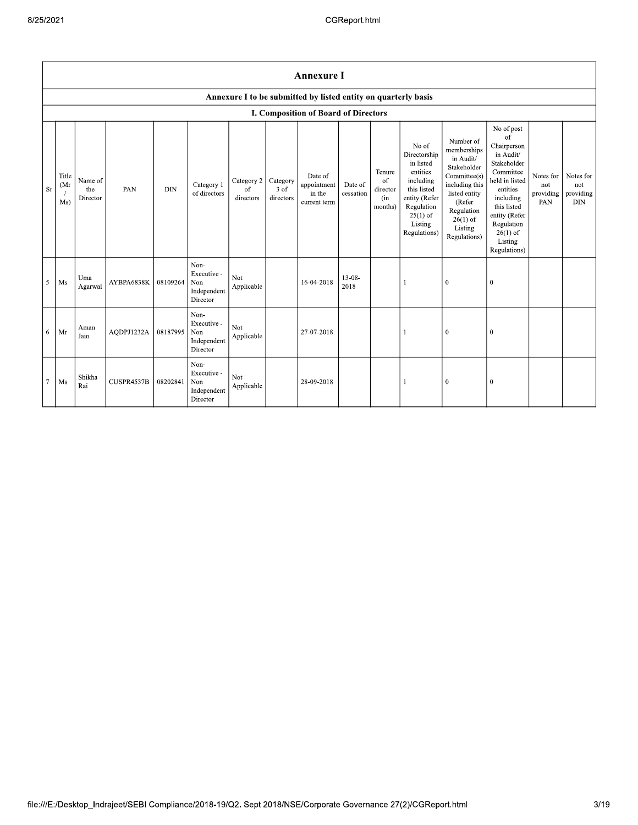|                | <b>Annexure I</b>                                              |                            |            |            |                                                       |                               |                               |                                                  |                      |                                            |                                                                                                                                                    |                                                                                                                                                                          |                                                                                                                                                                                                            |                                      |                                             |
|----------------|----------------------------------------------------------------|----------------------------|------------|------------|-------------------------------------------------------|-------------------------------|-------------------------------|--------------------------------------------------|----------------------|--------------------------------------------|----------------------------------------------------------------------------------------------------------------------------------------------------|--------------------------------------------------------------------------------------------------------------------------------------------------------------------------|------------------------------------------------------------------------------------------------------------------------------------------------------------------------------------------------------------|--------------------------------------|---------------------------------------------|
|                | Annexure I to be submitted by listed entity on quarterly basis |                            |            |            |                                                       |                               |                               |                                                  |                      |                                            |                                                                                                                                                    |                                                                                                                                                                          |                                                                                                                                                                                                            |                                      |                                             |
|                | <b>I. Composition of Board of Directors</b>                    |                            |            |            |                                                       |                               |                               |                                                  |                      |                                            |                                                                                                                                                    |                                                                                                                                                                          |                                                                                                                                                                                                            |                                      |                                             |
| Sr             | Title<br>(Mr<br>Ms)                                            | Name of<br>the<br>Director | PAN        | <b>DIN</b> | Category 1<br>of directors                            | Category 2<br>of<br>directors | Category<br>3 of<br>directors | Date of<br>appointment<br>in the<br>current term | Date of<br>cessation | Tenure<br>of<br>director<br>(in<br>months) | No of<br>Directorship<br>in listed<br>entities<br>including<br>this listed<br>entity (Refer<br>Regulation<br>$25(1)$ of<br>Listing<br>Regulations) | Number of<br>memberships<br>in Audit/<br>Stakeholder<br>Committee(s)<br>including this<br>listed entity<br>(Refer<br>Regulation<br>$26(1)$ of<br>Listing<br>Regulations) | No of post<br>of<br>Chairperson<br>in Audit/<br>Stakeholder<br>Committee<br>held in listed<br>entities<br>including<br>this listed<br>entity (Refer<br>Regulation<br>$26(1)$ of<br>Listing<br>Regulations) | Notes for<br>not<br>providing<br>PAN | Notes for<br>not<br>providing<br><b>DIN</b> |
| 5              | Ms                                                             | Uma<br>Agarwal             | AYBPA6838K | 08109264   | Non-<br>Executive -<br>Non<br>Independent<br>Director | Not<br>Applicable             |                               | 16-04-2018                                       | $13 - 08 -$<br>2018  |                                            |                                                                                                                                                    | $\mathbf{0}$                                                                                                                                                             | $\mathbf{0}$                                                                                                                                                                                               |                                      |                                             |
| 6              | Mr                                                             | Aman<br>Jain               | AQDPJ1232A | 08187995   | Non-<br>Executive -<br>Non<br>Independent<br>Director | Not<br>Applicable             |                               | 27-07-2018                                       |                      |                                            |                                                                                                                                                    | $\mathbf{0}$                                                                                                                                                             | $\mathbf{0}$                                                                                                                                                                                               |                                      |                                             |
| $\overline{7}$ | Ms                                                             | Shikha<br>Rai              | CUSPR4537B | 08202841   | Non-<br>Executive -<br>Non<br>Independent<br>Director | Not<br>Applicable             |                               | 28-09-2018                                       |                      |                                            |                                                                                                                                                    | $\boldsymbol{0}$                                                                                                                                                         | $\overline{0}$                                                                                                                                                                                             |                                      |                                             |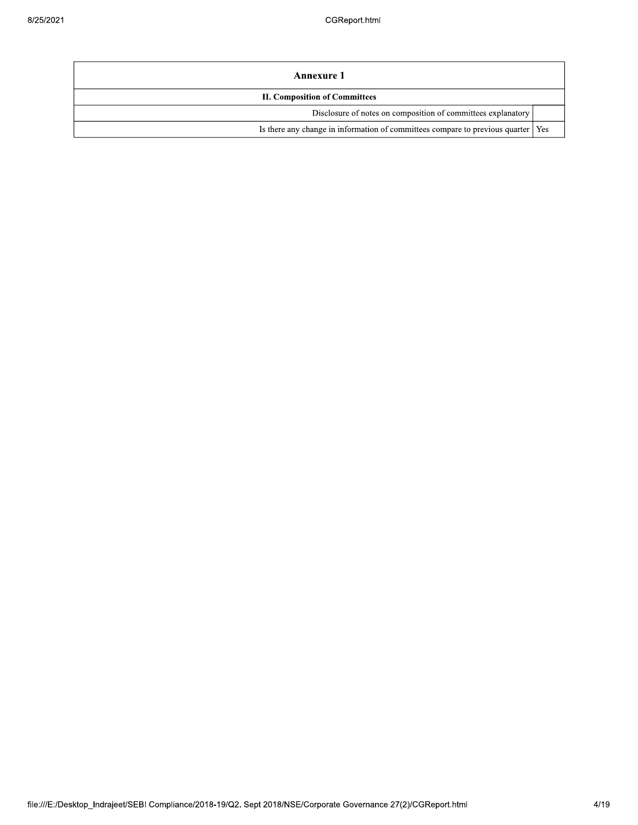| Annexure 1                                                                         |  |  |  |  |  |
|------------------------------------------------------------------------------------|--|--|--|--|--|
| <b>II. Composition of Committees</b>                                               |  |  |  |  |  |
| Disclosure of notes on composition of committees explanatory                       |  |  |  |  |  |
| Is there any change in information of committees compare to previous quarter   Yes |  |  |  |  |  |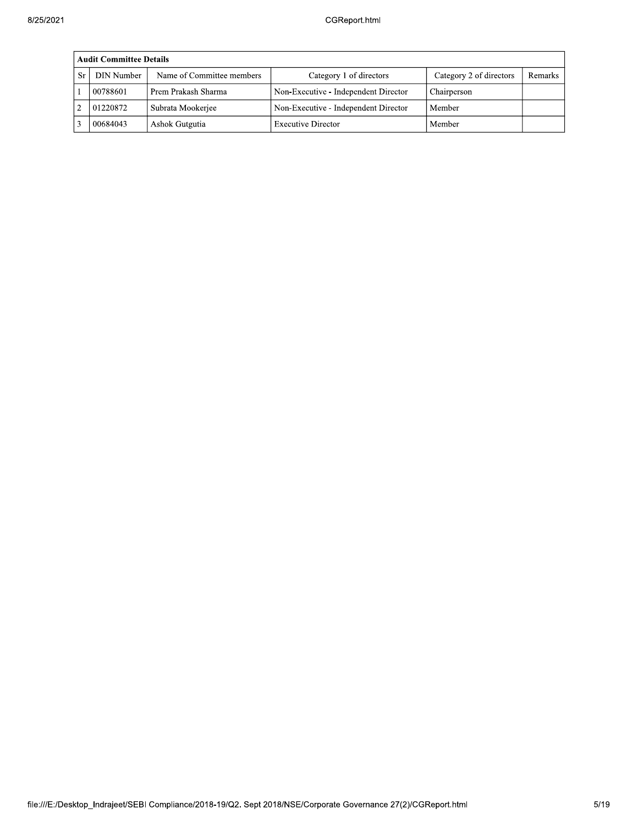| <b>Audit Committee Details</b> |                           |                                      |                         |         |  |  |  |  |
|--------------------------------|---------------------------|--------------------------------------|-------------------------|---------|--|--|--|--|
| DIN Number                     | Name of Committee members | Category 1 of directors              | Category 2 of directors | Remarks |  |  |  |  |
| 00788601                       | Prem Prakash Sharma       | Non-Executive - Independent Director | Chairperson             |         |  |  |  |  |
| 01220872                       | Subrata Mookerjee         | Non-Executive - Independent Director | Member                  |         |  |  |  |  |
| 00684043                       | Ashok Gutgutia            | <b>Executive Director</b>            | Member                  |         |  |  |  |  |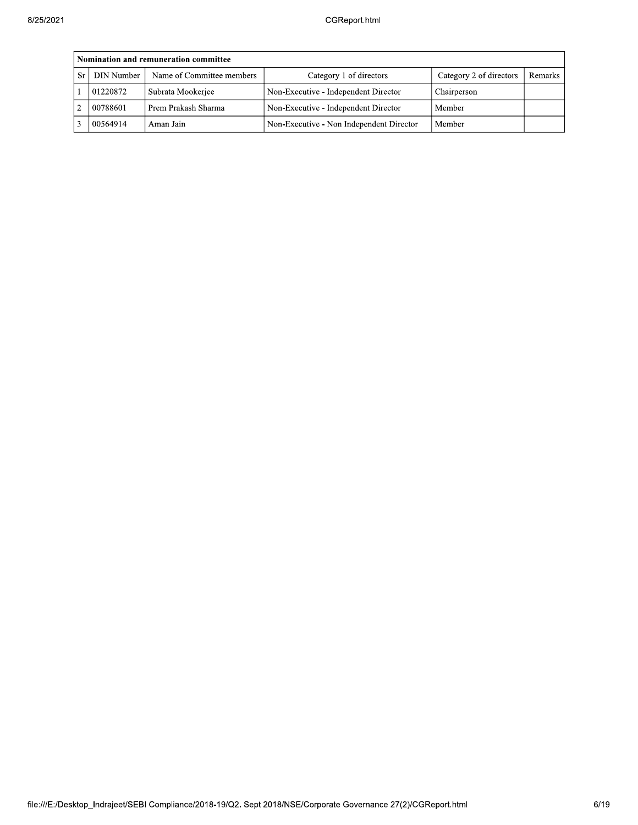|               | Nomination and remuneration committee |                           |                                          |                         |         |  |  |  |  |
|---------------|---------------------------------------|---------------------------|------------------------------------------|-------------------------|---------|--|--|--|--|
| Sr            | DIN Number                            | Name of Committee members | Category 1 of directors                  | Category 2 of directors | Remarks |  |  |  |  |
|               | 01220872                              | Subrata Mookerjee         | Non-Executive - Independent Director     | Chairperson             |         |  |  |  |  |
| $\mathcal{D}$ | 00788601                              | Prem Prakash Sharma       | Non-Executive - Independent Director     | Member                  |         |  |  |  |  |
|               | 00564914                              | Aman Jain                 | Non-Executive - Non Independent Director | Member                  |         |  |  |  |  |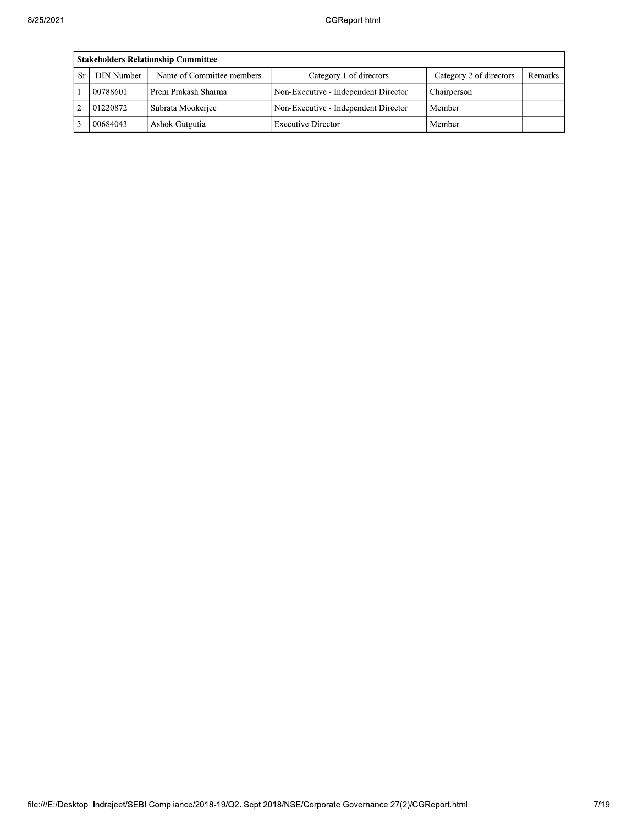| Stakeholders Relationship Committee |                           |                                      |                         |         |  |  |  |  |  |
|-------------------------------------|---------------------------|--------------------------------------|-------------------------|---------|--|--|--|--|--|
| DIN Number                          | Name of Committee members | Category 1 of directors              | Category 2 of directors | Remarks |  |  |  |  |  |
| 00788601                            | Prem Prakash Sharma       | Non-Executive - Independent Director | Chairperson             |         |  |  |  |  |  |
| 01220872                            | Subrata Mookerjee         | Non-Executive - Independent Director | Member                  |         |  |  |  |  |  |
| 00684043                            | Ashok Gutgutia            | <b>Executive Director</b>            | Member                  |         |  |  |  |  |  |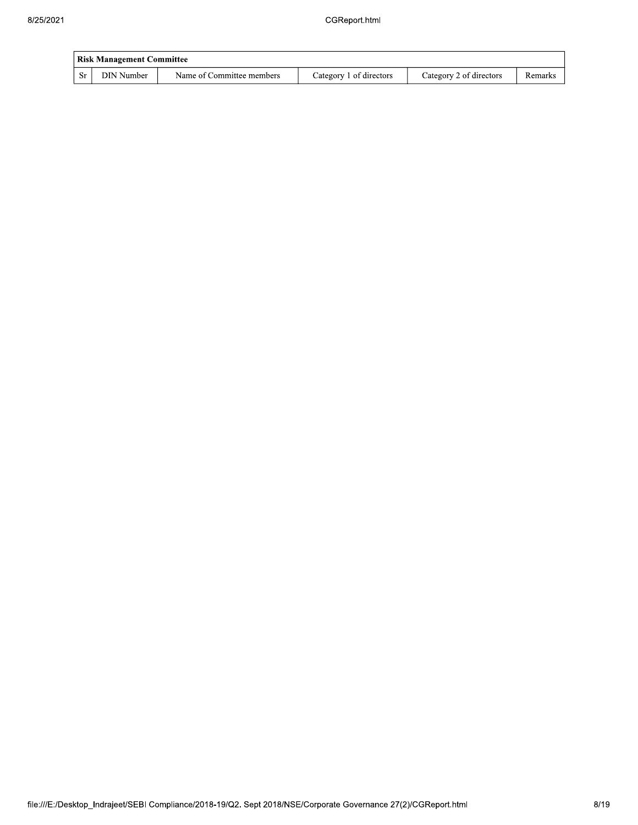|       | <b>Risk Management Committee</b> |                           |                         |                         |         |  |  |  |  |
|-------|----------------------------------|---------------------------|-------------------------|-------------------------|---------|--|--|--|--|
| -Sr 1 | DIN Number                       | Name of Committee members | Category 1 of directors | Category 2 of directors | Remarks |  |  |  |  |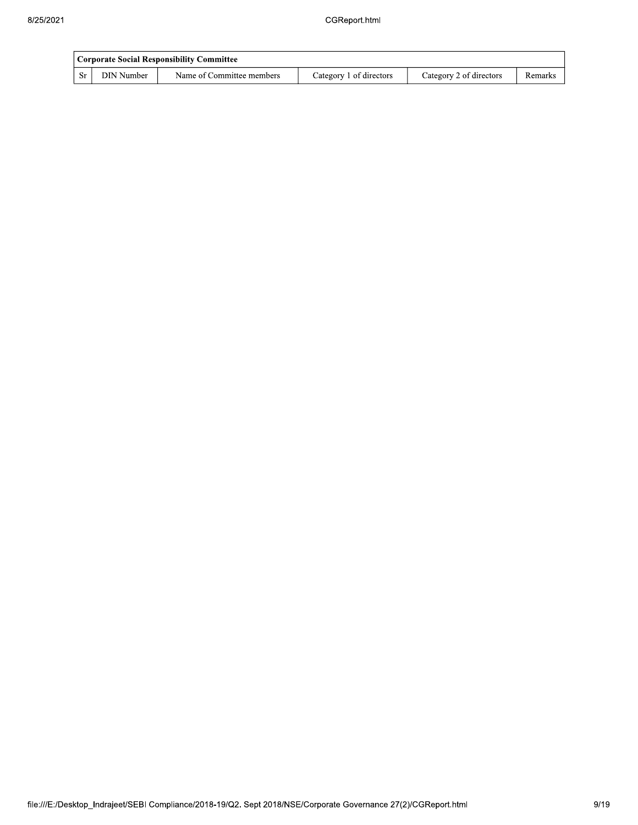|    | <b>Corporate Social Responsibility Committee</b> |                           |                         |                         |         |  |  |  |  |
|----|--------------------------------------------------|---------------------------|-------------------------|-------------------------|---------|--|--|--|--|
| Sr | DIN Number                                       | Name of Committee members | Category 1 of directors | Category 2 of directors | Remarks |  |  |  |  |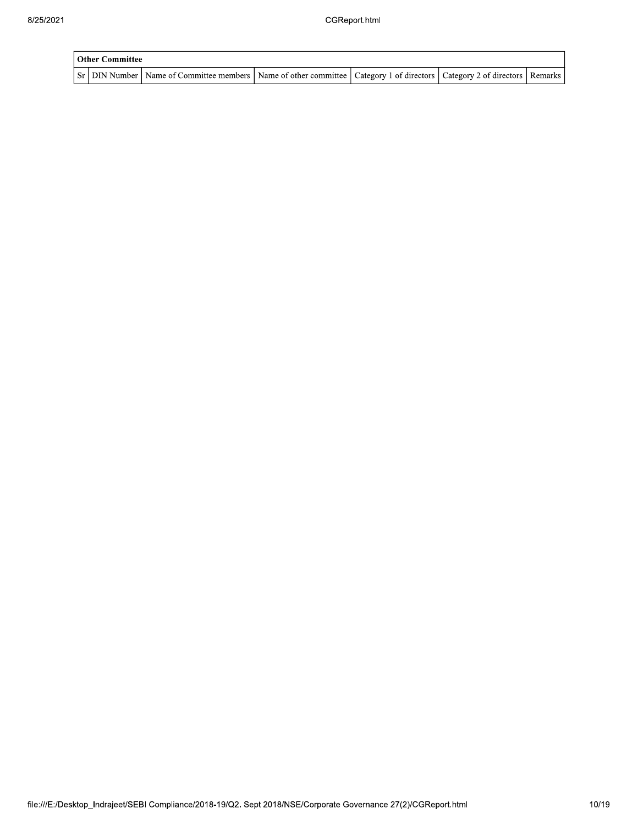| <b>Other Committee</b> |                                                                                                                                     |  |  |  |  |  |  |  |  |
|------------------------|-------------------------------------------------------------------------------------------------------------------------------------|--|--|--|--|--|--|--|--|
|                        | Sr   DIN Number   Name of Committee members   Name of other committee   Category 1 of directors   Category 2 of directors   Remarks |  |  |  |  |  |  |  |  |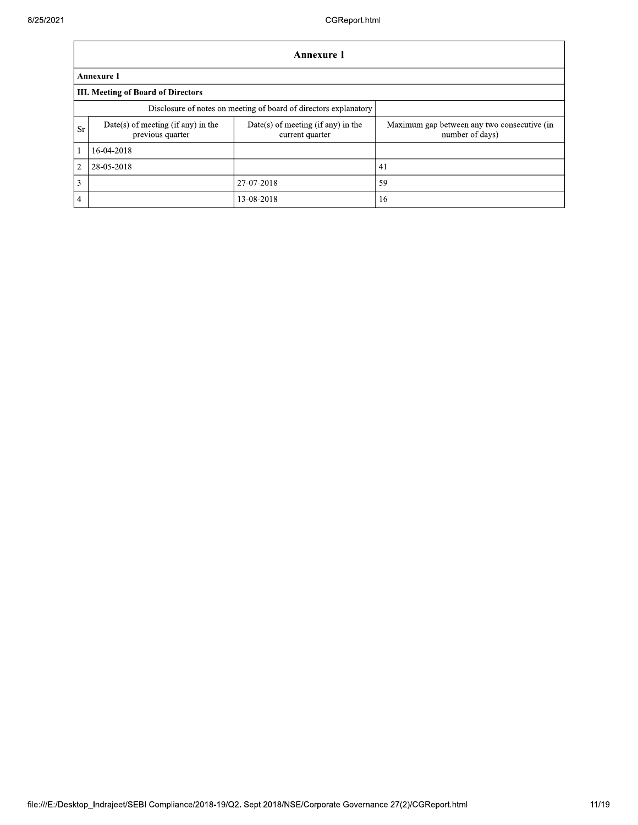|    | <b>Annexure 1</b>                                                |                                                         |                                                                |  |  |  |  |  |
|----|------------------------------------------------------------------|---------------------------------------------------------|----------------------------------------------------------------|--|--|--|--|--|
|    | <b>Annexure 1</b>                                                |                                                         |                                                                |  |  |  |  |  |
|    | III. Meeting of Board of Directors                               |                                                         |                                                                |  |  |  |  |  |
|    | Disclosure of notes on meeting of board of directors explanatory |                                                         |                                                                |  |  |  |  |  |
| Sr | $Date(s)$ of meeting (if any) in the<br>previous quarter         | $Date(s)$ of meeting (if any) in the<br>current quarter | Maximum gap between any two consecutive (in<br>number of days) |  |  |  |  |  |
|    | 16-04-2018                                                       |                                                         |                                                                |  |  |  |  |  |
| 2  | 28-05-2018                                                       |                                                         | 41                                                             |  |  |  |  |  |
| 3  |                                                                  | 27-07-2018                                              | 59                                                             |  |  |  |  |  |
| 4  |                                                                  | 13-08-2018                                              | 16                                                             |  |  |  |  |  |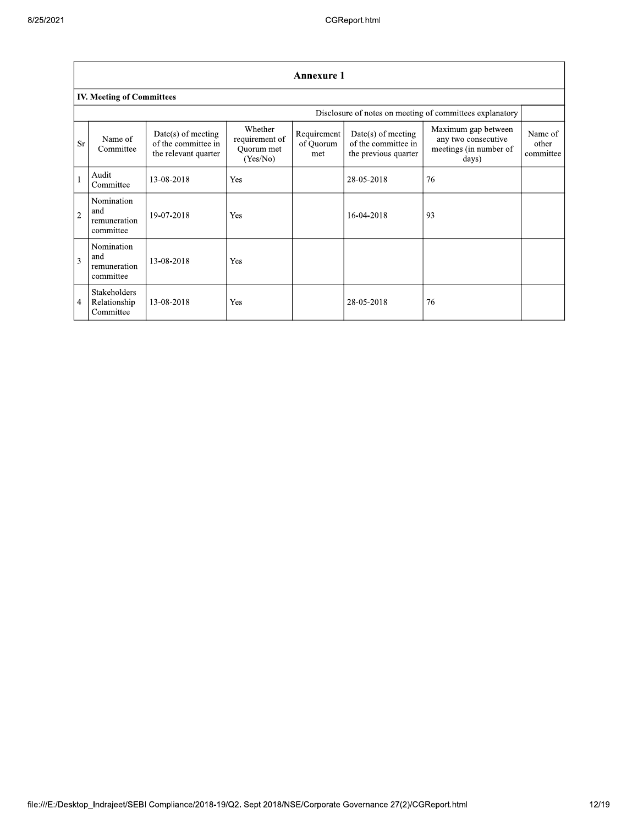| <b>Annexure 1</b> |                                                  |                                                                     |                                                     |                                 |                                                                     |                                                                               |                               |  |  |  |
|-------------------|--------------------------------------------------|---------------------------------------------------------------------|-----------------------------------------------------|---------------------------------|---------------------------------------------------------------------|-------------------------------------------------------------------------------|-------------------------------|--|--|--|
|                   | <b>IV. Meeting of Committees</b>                 |                                                                     |                                                     |                                 |                                                                     |                                                                               |                               |  |  |  |
|                   |                                                  |                                                                     |                                                     |                                 |                                                                     | Disclosure of notes on meeting of committees explanatory                      |                               |  |  |  |
| <b>Sr</b>         | Name of<br>Committee                             | $Date(s)$ of meeting<br>of the committee in<br>the relevant quarter | Whether<br>requirement of<br>Quorum met<br>(Yes/No) | Requirement<br>of Quorum<br>met | $Date(s)$ of meeting<br>of the committee in<br>the previous quarter | Maximum gap between<br>any two consecutive<br>meetings (in number of<br>days) | Name of<br>other<br>committee |  |  |  |
|                   | Audit<br>Committee                               | 13-08-2018                                                          | Yes                                                 |                                 | 28-05-2018                                                          | 76                                                                            |                               |  |  |  |
| $\overline{2}$    | Nomination<br>and<br>remuneration<br>committee   | 19-07-2018                                                          | Yes                                                 |                                 | 16-04-2018                                                          | 93                                                                            |                               |  |  |  |
| $\overline{3}$    | Nomination<br>and<br>remuneration<br>committee   | 13-08-2018                                                          | Yes                                                 |                                 |                                                                     |                                                                               |                               |  |  |  |
| $\overline{4}$    | <b>Stakeholders</b><br>Relationship<br>Committee | 13-08-2018                                                          | Yes                                                 |                                 | 28-05-2018                                                          | 76                                                                            |                               |  |  |  |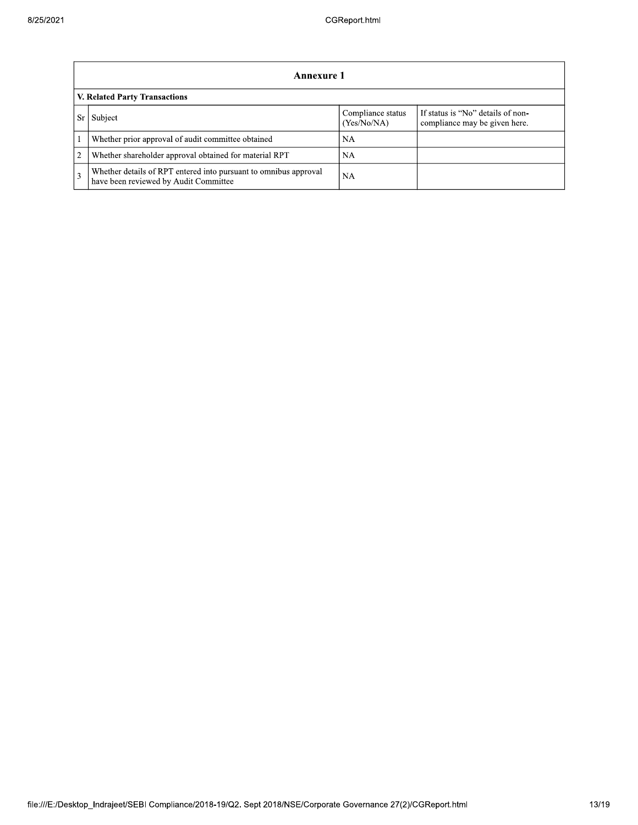|                               | Annexure 1                                                                                                |                                  |                                                                    |  |
|-------------------------------|-----------------------------------------------------------------------------------------------------------|----------------------------------|--------------------------------------------------------------------|--|
| V. Related Party Transactions |                                                                                                           |                                  |                                                                    |  |
|                               | Subject                                                                                                   | Compliance status<br>(Yes/No/NA) | If status is "No" details of non-<br>compliance may be given here. |  |
|                               | Whether prior approval of audit committee obtained                                                        | <b>NA</b>                        |                                                                    |  |
| 2                             | Whether shareholder approval obtained for material RPT                                                    | NA.                              |                                                                    |  |
| 3                             | Whether details of RPT entered into pursuant to omnibus approval<br>have been reviewed by Audit Committee | <b>NA</b>                        |                                                                    |  |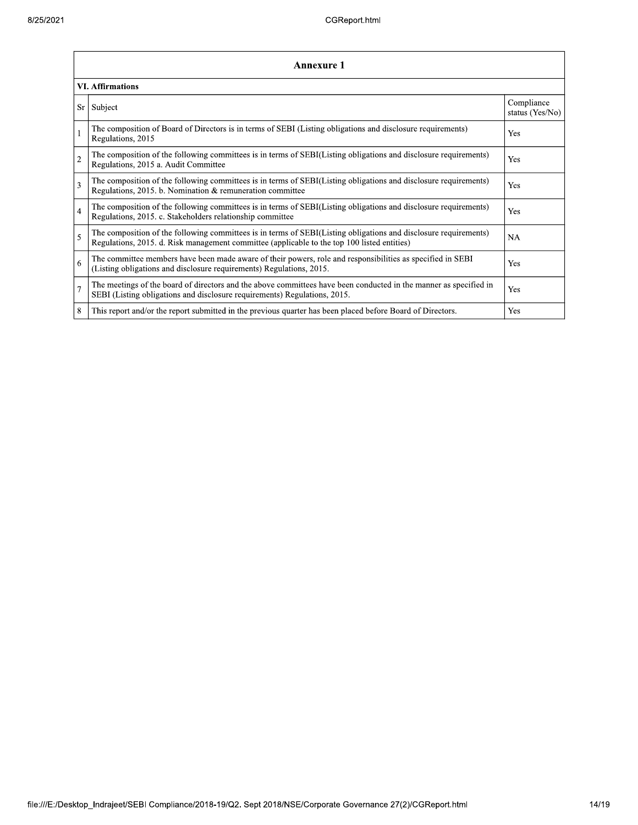|                | Annexure 1                                                                                                                                                                                                      |                               |  |  |
|----------------|-----------------------------------------------------------------------------------------------------------------------------------------------------------------------------------------------------------------|-------------------------------|--|--|
|                | <b>VI. Affirmations</b>                                                                                                                                                                                         |                               |  |  |
| Sr             | Subject                                                                                                                                                                                                         | Compliance<br>status (Yes/No) |  |  |
|                | The composition of Board of Directors is in terms of SEBI (Listing obligations and disclosure requirements)<br>Regulations, 2015                                                                                | Yes                           |  |  |
| $\overline{2}$ | The composition of the following committees is in terms of SEBI(Listing obligations and disclosure requirements)<br>Regulations, 2015 a. Audit Committee                                                        | Yes                           |  |  |
| 3              | The composition of the following committees is in terms of SEBI(Listing obligations and disclosure requirements)<br>Regulations, 2015. b. Nomination & remuneration committee                                   | Yes                           |  |  |
| $\overline{4}$ | The composition of the following committees is in terms of SEBI(Listing obligations and disclosure requirements)<br>Regulations, 2015. c. Stakeholders relationship committee                                   | Yes                           |  |  |
| 5              | The composition of the following committees is in terms of SEBI(Listing obligations and disclosure requirements)<br>Regulations, 2015. d. Risk management committee (applicable to the top 100 listed entities) | <b>NA</b>                     |  |  |
| 6              | The committee members have been made aware of their powers, role and responsibilities as specified in SEBI<br>(Listing obligations and disclosure requirements) Regulations, 2015.                              | Yes                           |  |  |
| $\overline{7}$ | The meetings of the board of directors and the above committees have been conducted in the manner as specified in<br>SEBI (Listing obligations and disclosure requirements) Regulations, 2015.                  | Yes                           |  |  |
| 8              | This report and/or the report submitted in the previous quarter has been placed before Board of Directors.                                                                                                      | Yes                           |  |  |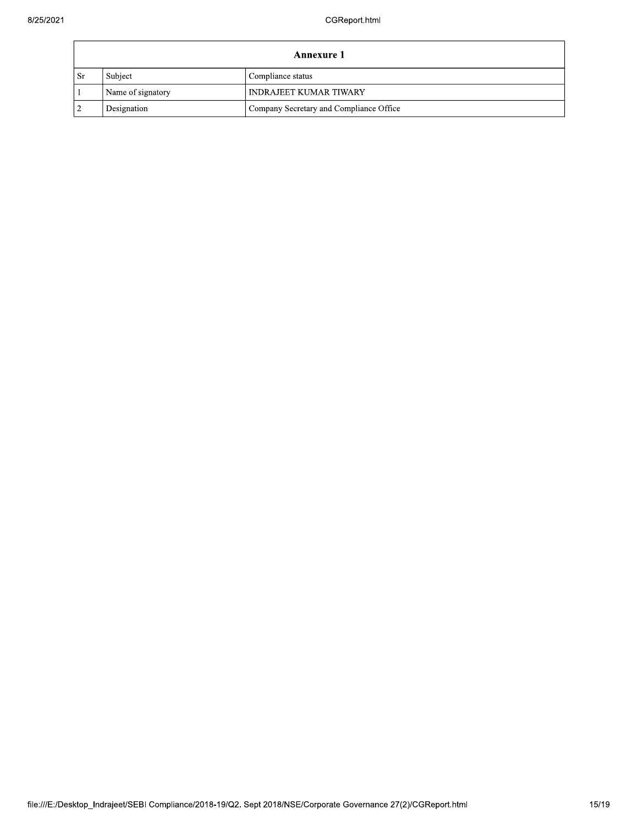| Annexure 1     |                   |                                         |
|----------------|-------------------|-----------------------------------------|
| - Sr           | Subject           | Compliance status                       |
|                | Name of signatory | <b>INDRAJEET KUMAR TIWARY</b>           |
| $\overline{2}$ | Designation       | Company Secretary and Compliance Office |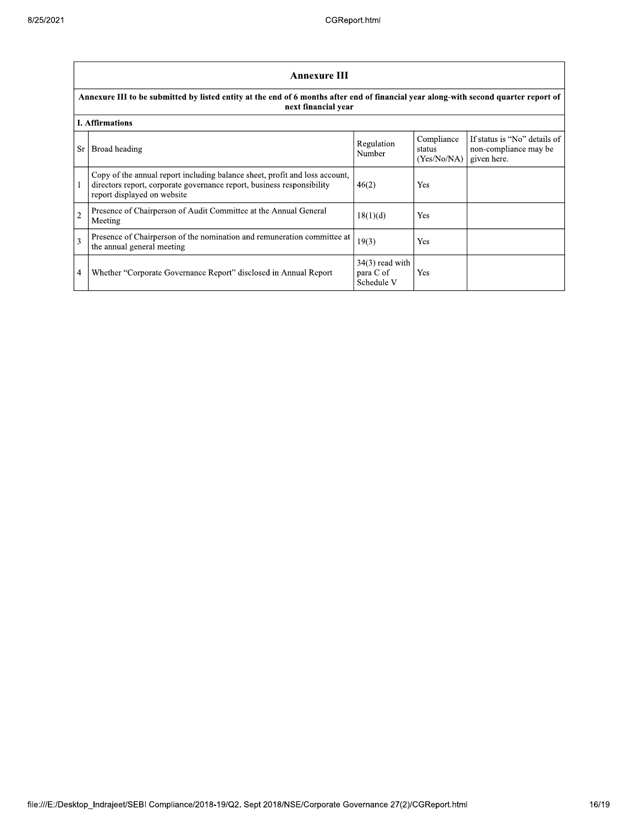|            | <b>Annexure III</b>                                                                                                                                                                  |                                              |                                     |                                                                      |
|------------|--------------------------------------------------------------------------------------------------------------------------------------------------------------------------------------|----------------------------------------------|-------------------------------------|----------------------------------------------------------------------|
|            | Annexure III to be submitted by listed entity at the end of 6 months after end of financial year along-with second quarter report of<br>next financial year                          |                                              |                                     |                                                                      |
|            | <b>I.</b> Affirmations                                                                                                                                                               |                                              |                                     |                                                                      |
| Sr         | Broad heading                                                                                                                                                                        | Regulation<br>Number                         | Compliance<br>status<br>(Yes/No/NA) | If status is "No" details of<br>non-compliance may be<br>given here. |
|            | Copy of the annual report including balance sheet, profit and loss account,<br>directors report, corporate governance report, business responsibility<br>report displayed on website | 46(2)                                        | Yes                                 |                                                                      |
| $\sqrt{2}$ | Presence of Chairperson of Audit Committee at the Annual General<br>Meeting                                                                                                          | 18(1)(d)                                     | Yes                                 |                                                                      |
| 3          | Presence of Chairperson of the nomination and remuneration committee at<br>the annual general meeting                                                                                | 19(3)                                        | Yes                                 |                                                                      |
| 4          | Whether "Corporate Governance Report" disclosed in Annual Report                                                                                                                     | $34(3)$ read with<br>para C of<br>Schedule V | Yes                                 |                                                                      |

٦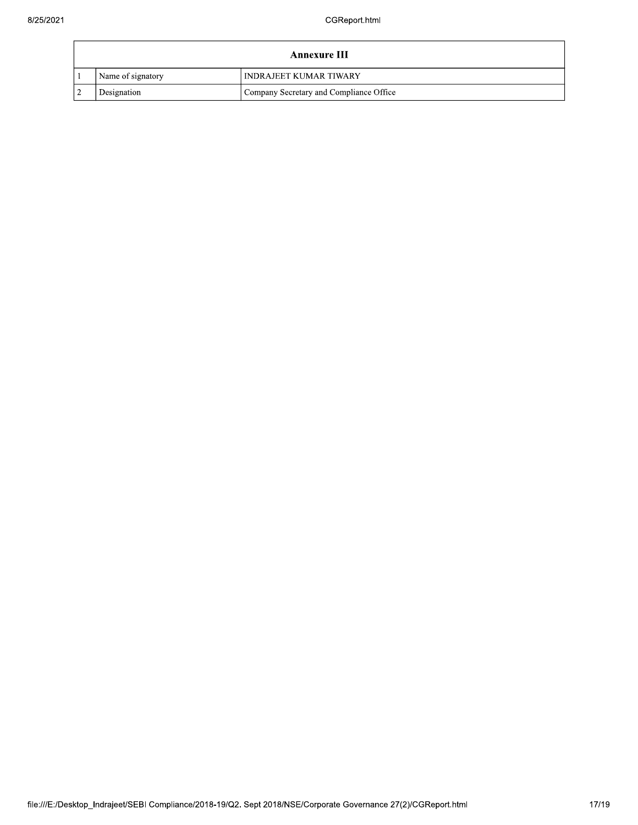| Annexure III      |                                         |  |
|-------------------|-----------------------------------------|--|
| Name of signatory | <b>INDRAJEET KUMAR TIWARY</b>           |  |
| Designation       | Company Secretary and Compliance Office |  |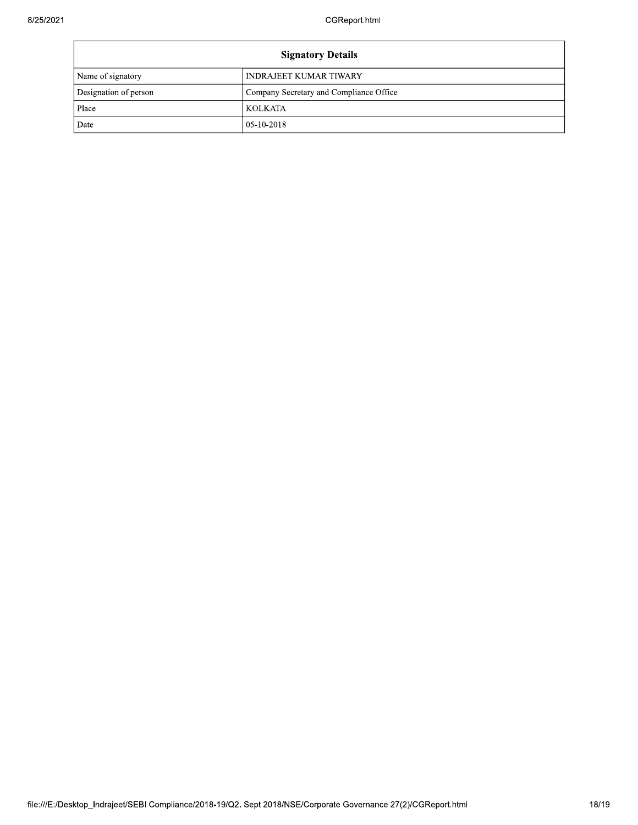| <b>Signatory Details</b> |                                         |
|--------------------------|-----------------------------------------|
| Name of signatory        | INDRAJEET KUMAR TIWARY                  |
| Designation of person    | Company Secretary and Compliance Office |
| Place                    | <b>KOLKATA</b>                          |
| Date                     | 05-10-2018                              |